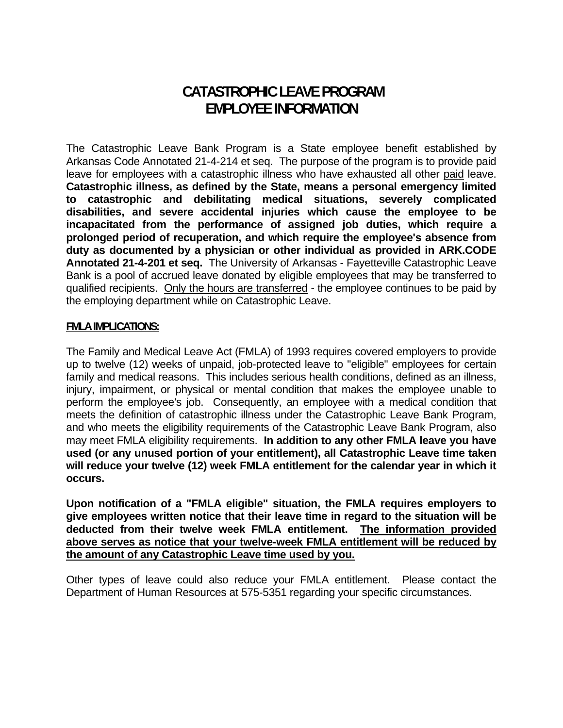# **CATASTROPHIC LEAVE PROGRAM EMPLOYEE INFORMATION**

The Catastrophic Leave Bank Program is a State employee benefit established by Arkansas Code Annotated 21-4-214 et seq. The purpose of the program is to provide paid leave for employees with a catastrophic illness who have exhausted all other paid leave. **Catastrophic illness, as defined by the State, means a personal emergency limited to catastrophic and debilitating medical situations, severely complicated disabilities, and severe accidental injuries which cause the employee to be incapacitated from the performance of assigned job duties, which require a prolonged period of recuperation, and which require the employee's absence from duty as documented by a physician or other individual as provided in ARK.CODE Annotated 21-4-201 et seq.** The University of Arkansas - Fayetteville Catastrophic Leave Bank is a pool of accrued leave donated by eligible employees that may be transferred to qualified recipients. Only the hours are transferred - the employee continues to be paid by the employing department while on Catastrophic Leave.

#### **FMLA IMPLICATIONS:**

The Family and Medical Leave Act (FMLA) of 1993 requires covered employers to provide up to twelve (12) weeks of unpaid, job-protected leave to "eligible" employees for certain family and medical reasons. This includes serious health conditions, defined as an illness, injury, impairment, or physical or mental condition that makes the employee unable to perform the employee's job. Consequently, an employee with a medical condition that meets the definition of catastrophic illness under the Catastrophic Leave Bank Program, and who meets the eligibility requirements of the Catastrophic Leave Bank Program, also may meet FMLA eligibility requirements. **In addition to any other FMLA leave you have used (or any unused portion of your entitlement), all Catastrophic Leave time taken will reduce your twelve (12) week FMLA entitlement for the calendar year in which it occurs.** 

**Upon notification of a "FMLA eligible" situation, the FMLA requires employers to give employees written notice that their leave time in regard to the situation will be deducted from their twelve week FMLA entitlement. The information provided above serves as notice that your twelve-week FMLA entitlement will be reduced by the amount of any Catastrophic Leave time used by you.** 

Other types of leave could also reduce your FMLA entitlement. Please contact the Department of Human Resources at 575-5351 regarding your specific circumstances.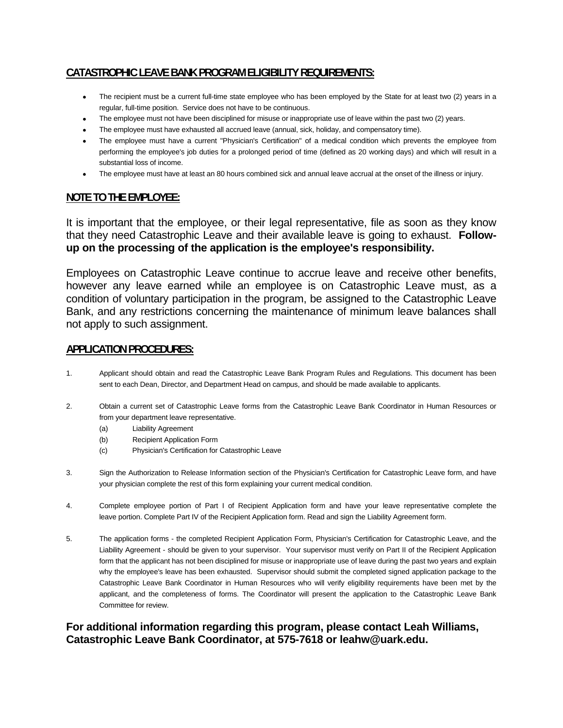## **CATASTROPHIC LEAVE BANK PROGRAM ELIGIBILITY REQUIREMENTS:**

- The recipient must be a current full-time state employee who has been employed by the State for at least two (2) years in a regular, full-time position. Service does not have to be continuous.
- The employee must not have been disciplined for misuse or inappropriate use of leave within the past two (2) years.
- The employee must have exhausted all accrued leave (annual, sick, holiday, and compensatory time).
- The employee must have a current "Physician's Certification" of a medical condition which prevents the employee from performing the employee's job duties for a prolonged period of time (defined as 20 working days) and which will result in a substantial loss of income.
- The employee must have at least an 80 hours combined sick and annual leave accrual at the onset of the illness or injury.

#### **NOTE TO THE EMPLOYEE:**

It is important that the employee, or their legal representative, file as soon as they know that they need Catastrophic Leave and their available leave is going to exhaust. **Followup on the processing of the application is the employee's responsibility.**

Employees on Catastrophic Leave continue to accrue leave and receive other benefits, however any leave earned while an employee is on Catastrophic Leave must, as a condition of voluntary participation in the program, be assigned to the Catastrophic Leave Bank, and any restrictions concerning the maintenance of minimum leave balances shall not apply to such assignment.

#### **APPLICATION PROCEDURES:**

- 1. Applicant should obtain and read the Catastrophic Leave Bank Program Rules and Regulations. This document has been sent to each Dean, Director, and Department Head on campus, and should be made available to applicants.
- 2. Obtain a current set of Catastrophic Leave forms from the Catastrophic Leave Bank Coordinator in Human Resources or from your department leave representative.
	- (a) Liability Agreement
	- (b) Recipient Application Form
	- (c) Physician's Certification for Catastrophic Leave
- 3. Sign the Authorization to Release Information section of the Physician's Certification for Catastrophic Leave form, and have your physician complete the rest of this form explaining your current medical condition.
- 4. Complete employee portion of Part I of Recipient Application form and have your leave representative complete the leave portion. Complete Part IV of the Recipient Application form. Read and sign the Liability Agreement form.
- 5. The application forms the completed Recipient Application Form, Physician's Certification for Catastrophic Leave, and the Liability Agreement - should be given to your supervisor. Your supervisor must verify on Part II of the Recipient Application form that the applicant has not been disciplined for misuse or inappropriate use of leave during the past two years and explain why the employee's leave has been exhausted. Supervisor should submit the completed signed application package to the Catastrophic Leave Bank Coordinator in Human Resources who will verify eligibility requirements have been met by the applicant, and the completeness of forms. The Coordinator will present the application to the Catastrophic Leave Bank Committee for review.

### **For additional information regarding this program, please contact Leah Williams, Catastrophic Leave Bank Coordinator, at 575-7618 or leahw@uark.edu.**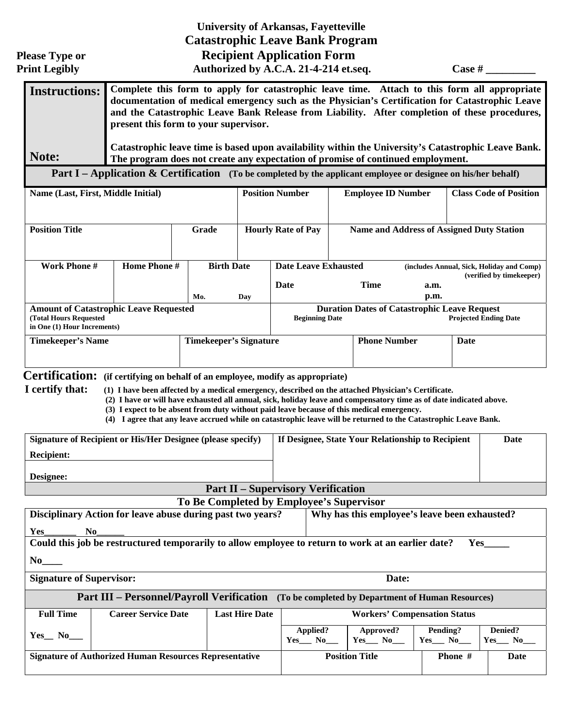|                                                                                                                                     |                                                                                                                                                                                                                                                                                                                                                                                                                                                                                                                  |                                          |                           | <b>University of Arkansas, Fayetteville</b><br><b>Catastrophic Leave Bank Program</b>                                |                                                  |                                                   |                                                                               |                               |         |  |  |
|-------------------------------------------------------------------------------------------------------------------------------------|------------------------------------------------------------------------------------------------------------------------------------------------------------------------------------------------------------------------------------------------------------------------------------------------------------------------------------------------------------------------------------------------------------------------------------------------------------------------------------------------------------------|------------------------------------------|---------------------------|----------------------------------------------------------------------------------------------------------------------|--------------------------------------------------|---------------------------------------------------|-------------------------------------------------------------------------------|-------------------------------|---------|--|--|
| <b>Please Type or</b><br><b>Print Legibly</b>                                                                                       | <b>Recipient Application Form</b>                                                                                                                                                                                                                                                                                                                                                                                                                                                                                |                                          |                           |                                                                                                                      | Authorized by A.C.A. 21-4-214 et.seq.            |                                                   |                                                                               |                               | Case #  |  |  |
| <b>Instructions:</b>                                                                                                                | Complete this form to apply for catastrophic leave time. Attach to this form all appropriate<br>documentation of medical emergency such as the Physician's Certification for Catastrophic Leave<br>and the Catastrophic Leave Bank Release from Liability. After completion of these procedures,<br>present this form to your supervisor.                                                                                                                                                                        |                                          |                           |                                                                                                                      |                                                  |                                                   |                                                                               |                               |         |  |  |
| Note:                                                                                                                               | Catastrophic leave time is based upon availability within the University's Catastrophic Leave Bank.<br>The program does not create any expectation of promise of continued employment.                                                                                                                                                                                                                                                                                                                           |                                          |                           |                                                                                                                      |                                                  |                                                   |                                                                               |                               |         |  |  |
|                                                                                                                                     | Part I – Application & Certification (To be completed by the applicant employee or designee on his/her behalf)                                                                                                                                                                                                                                                                                                                                                                                                   |                                          |                           |                                                                                                                      |                                                  |                                                   |                                                                               |                               |         |  |  |
| Name (Last, First, Middle Initial)                                                                                                  |                                                                                                                                                                                                                                                                                                                                                                                                                                                                                                                  |                                          | <b>Position Number</b>    |                                                                                                                      | <b>Employee ID Number</b>                        |                                                   |                                                                               | <b>Class Code of Position</b> |         |  |  |
| <b>Position Title</b>                                                                                                               |                                                                                                                                                                                                                                                                                                                                                                                                                                                                                                                  | Grade                                    | <b>Hourly Rate of Pay</b> |                                                                                                                      | <b>Name and Address of Assigned Duty Station</b> |                                                   |                                                                               |                               |         |  |  |
| <b>Work Phone #</b>                                                                                                                 | Home Phone #                                                                                                                                                                                                                                                                                                                                                                                                                                                                                                     | <b>Birth Date</b><br>Mo.                 |                           | <b>Date Leave Exhausted</b><br>Date                                                                                  |                                                  | <b>Time</b>                                       | (includes Annual, Sick, Holiday and Comp)<br>(verified by timekeeper)<br>a.m. |                               |         |  |  |
| Day<br><b>Amount of Catastrophic Leave Requested</b><br>(Total Hours Requested<br>in One (1) Hour Increments)                       |                                                                                                                                                                                                                                                                                                                                                                                                                                                                                                                  |                                          |                           | p.m.<br><b>Duration Dates of Catastrophic Leave Request</b><br><b>Beginning Date</b><br><b>Projected Ending Date</b> |                                                  |                                                   |                                                                               |                               |         |  |  |
| <b>Timekeeper's Name</b>                                                                                                            |                                                                                                                                                                                                                                                                                                                                                                                                                                                                                                                  | <b>Timekeeper's Signature</b>            |                           |                                                                                                                      | <b>Phone Number</b>                              |                                                   | <b>Date</b>                                                                   |                               |         |  |  |
| Certification: (if certifying on behalf of an employee, modify as appropriate)<br>I certify that:<br><b>Recipient:</b><br>Designee: | (1) I have been affected by a medical emergency, described on the attached Physician's Certificate.<br>(2) I have or will have exhausted all annual, sick, holiday leave and compensatory time as of date indicated above.<br>(3) I expect to be absent from duty without paid leave because of this medical emergency.<br>(4) I agree that any leave accrued while on catastrophic leave will be returned to the Catastrophic Leave Bank.<br><b>Signature of Recipient or His/Her Designee (please specify)</b> |                                          |                           |                                                                                                                      |                                                  | If Designee, State Your Relationship to Recipient |                                                                               |                               | Date    |  |  |
|                                                                                                                                     |                                                                                                                                                                                                                                                                                                                                                                                                                                                                                                                  |                                          |                           | <b>Part II - Supervisory Verification</b>                                                                            |                                                  |                                                   |                                                                               |                               |         |  |  |
|                                                                                                                                     |                                                                                                                                                                                                                                                                                                                                                                                                                                                                                                                  | To Be Completed by Employee's Supervisor |                           |                                                                                                                      |                                                  | Why has this employee's leave been exhausted?     |                                                                               |                               |         |  |  |
| Disciplinary Action for leave abuse during past two years?<br><b>Yes</b><br>No<br>$No$ <sub>_____</sub>                             | Could this job be restructured temporarily to allow employee to return to work at an earlier date?                                                                                                                                                                                                                                                                                                                                                                                                               |                                          |                           |                                                                                                                      |                                                  |                                                   |                                                                               |                               | Yes     |  |  |
| <b>Signature of Supervisor:</b>                                                                                                     |                                                                                                                                                                                                                                                                                                                                                                                                                                                                                                                  |                                          |                           |                                                                                                                      |                                                  | Date:                                             |                                                                               |                               |         |  |  |
|                                                                                                                                     | Part III - Personnel/Payroll Verification (To be completed by Department of Human Resources)                                                                                                                                                                                                                                                                                                                                                                                                                     |                                          |                           |                                                                                                                      |                                                  |                                                   |                                                                               |                               |         |  |  |
| <b>Full Time</b>                                                                                                                    | <b>Career Service Date</b>                                                                                                                                                                                                                                                                                                                                                                                                                                                                                       |                                          | <b>Last Hire Date</b>     |                                                                                                                      |                                                  |                                                   | <b>Workers' Compensation Status</b>                                           |                               |         |  |  |
| $Yes$ $No$ $\qquad$                                                                                                                 |                                                                                                                                                                                                                                                                                                                                                                                                                                                                                                                  |                                          |                           | Applied?<br>$Yes$ No $N$                                                                                             |                                                  | Approved?<br>$Yes$ No_                            | Pending?                                                                      |                               | Denied? |  |  |
| <b>Signature of Authorized Human Resources Representative</b>                                                                       |                                                                                                                                                                                                                                                                                                                                                                                                                                                                                                                  |                                          |                           |                                                                                                                      | <b>Position Title</b>                            |                                                   |                                                                               | Phone #                       | Date    |  |  |
|                                                                                                                                     |                                                                                                                                                                                                                                                                                                                                                                                                                                                                                                                  |                                          |                           |                                                                                                                      |                                                  |                                                   |                                                                               |                               |         |  |  |